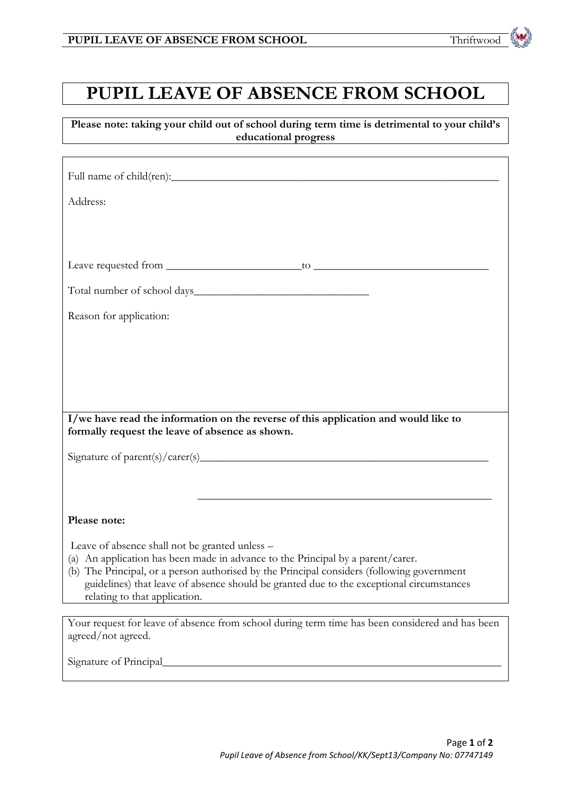## **PUPIL LEAVE OF ABSENCE FROM SCHOOL**

**Please note: taking your child out of school during term time is detrimental to your child's educational progress**

| Address:                                                                                                                                                                      |
|-------------------------------------------------------------------------------------------------------------------------------------------------------------------------------|
|                                                                                                                                                                               |
|                                                                                                                                                                               |
|                                                                                                                                                                               |
|                                                                                                                                                                               |
| Reason for application:                                                                                                                                                       |
|                                                                                                                                                                               |
|                                                                                                                                                                               |
|                                                                                                                                                                               |
|                                                                                                                                                                               |
| I/we have read the information on the reverse of this application and would like to<br>formally request the leave of absence as shown.                                        |
|                                                                                                                                                                               |
|                                                                                                                                                                               |
| <u> 1989 - Johann Stoff, amerikansk politiker (d. 1989)</u>                                                                                                                   |
| Please note:                                                                                                                                                                  |
| Leave of absence shall not be granted unless -                                                                                                                                |
| (a) An application has been made in advance to the Principal by a parent/carer.<br>(b) The Principal, or a person authorised by the Principal considers (following government |
| guidelines) that leave of absence should be granted due to the exceptional circumstances<br>relating to that application.                                                     |
|                                                                                                                                                                               |
| Your request for leave of absence from school during term time has been considered and has been<br>agreed/not agreed.                                                         |
| Signature of Principal                                                                                                                                                        |